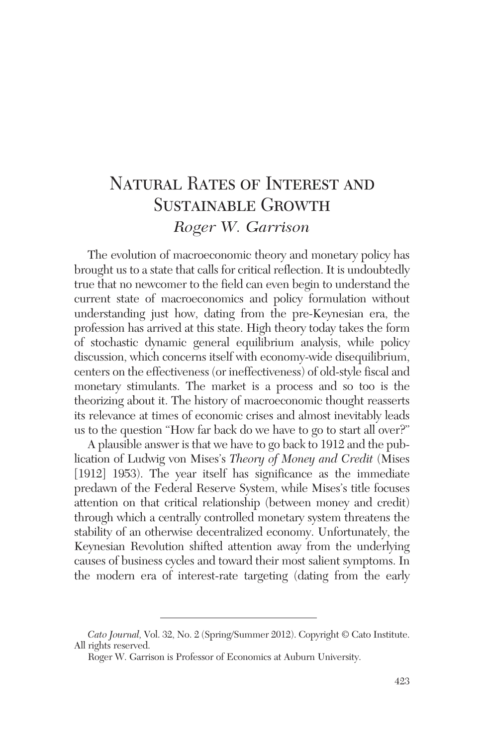# Natural Rates of Interest and SUSTAINABLE GROWTH *Roger W. Garrison*

The evolution of macroeconomic theory and monetary policy has brought us to a state that calls for critical reflection. It is undoubtedly true that no newcomer to the field can even begin to understand the current state of macroeconomics and policy formulation without understanding just how, dating from the pre-Keynesian era, the profession has arrived at this state. High theory today takes the form of stochastic dynamic general equilibrium analysis, while policy discussion, which concerns itself with economy-wide disequilibrium, centers on the effectiveness (or ineffectiveness) of old-style fiscal and monetary stimulants. The market is a process and so too is the theorizing about it. The history of macroeconomic thought reasserts its relevance at times of economic crises and almost inevitably leads us to the question "How far back do we have to go to start all over?"

A plausible answer is that we have to go back to 1912 and the publication of Ludwig von Mises's *Theory of Money and Credit* (Mises [1912] 1953). The year itself has significance as the immediate predawn of the Federal Reserve System, while Mises's title focuses attention on that critical relationship (between money and credit) through which a centrally controlled monetary system threatens the stability of an otherwise decentralized economy. Unfortunately, the Keynesian Revolution shifted attention away from the underlying causes of business cycles and toward their most salient symptoms. In the modern era of interest-rate targeting (dating from the early

*Cato Journal,* Vol. 32, No. 2 (Spring/Summer 2012). Copyright © Cato Institute. All rights reserved.

Roger W. Garrison is Professor of Economics at Auburn University.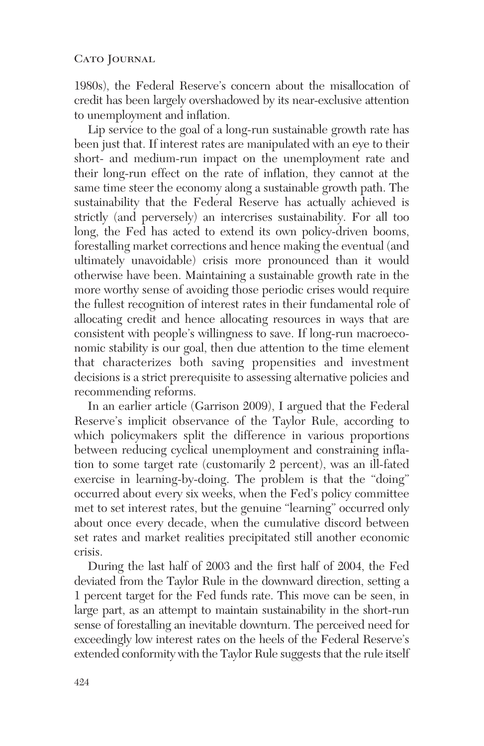1980s), the Federal Reserve's concern about the misallocation of credit has been largely overshadowed by its near-exclusive attention to unemployment and inflation.

Lip service to the goal of a long-run sustainable growth rate has been just that. If interest rates are manipulated with an eye to their short- and medium-run impact on the unemployment rate and their long-run effect on the rate of inflation, they cannot at the same time steer the economy along a sustainable growth path. The sustainability that the Federal Reserve has actually achieved is strictly (and perversely) an intercrises sustainability. For all too long, the Fed has acted to extend its own policy-driven booms, forestalling market corrections and hence making the eventual (and ultimately unavoidable) crisis more pronounced than it would otherwise have been. Maintaining a sustainable growth rate in the more worthy sense of avoiding those periodic crises would require the fullest recognition of interest rates in their fundamental role of allocating credit and hence allocating resources in ways that are consistent with people's willingness to save. If long-run macroeconomic stability is our goal, then due attention to the time element that characterizes both saving propensities and investment decisions is a strict prerequisite to assessing alternative policies and recommending reforms.

In an earlier article (Garrison 2009), I argued that the Federal Reserve's implicit observance of the Taylor Rule, according to which policymakers split the difference in various proportions between reducing cyclical unemployment and constraining inflation to some target rate (customarily 2 percent), was an ill-fated exercise in learning-by-doing. The problem is that the "doing" occurred about every six weeks, when the Fed's policy committee met to set interest rates, but the genuine "learning" occurred only about once every decade, when the cumulative discord between set rates and market realities precipitated still another economic crisis.

During the last half of 2003 and the first half of 2004, the Fed deviated from the Taylor Rule in the downward direction, setting a 1 percent target for the Fed funds rate. This move can be seen, in large part, as an attempt to maintain sustainability in the short-run sense of forestalling an inevitable downturn. The perceived need for exceedingly low interest rates on the heels of the Federal Reserve's extended conformity with the Taylor Rule suggests that the rule itself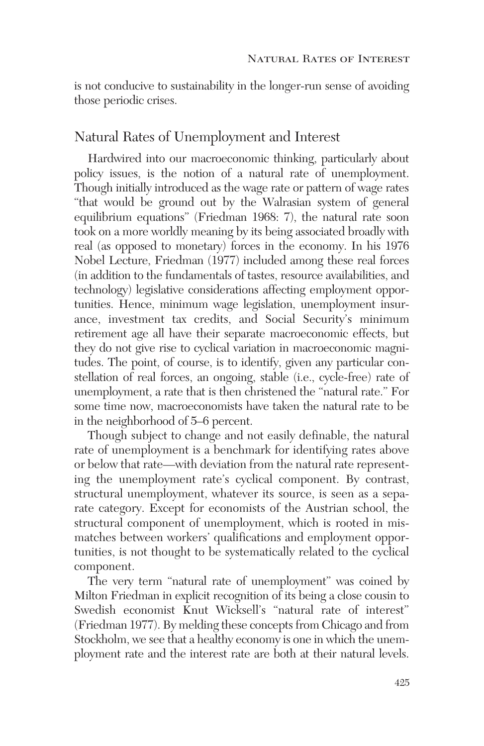is not conducive to sustainability in the longer-run sense of avoiding those periodic crises.

## Natural Rates of Unemployment and Interest

Hardwired into our macroeconomic thinking, particularly about policy issues, is the notion of a natural rate of unemployment. Though initially introduced as the wage rate or pattern of wage rates "that would be ground out by the Walrasian system of general equilibrium equations" (Friedman 1968: 7), the natural rate soon took on a more worldly meaning by its being associated broadly with real (as opposed to monetary) forces in the economy. In his 1976 Nobel Lecture, Friedman (1977) included among these real forces (in addition to the fundamentals of tastes, resource availabilities, and technology) legislative considerations affecting employment opportunities. Hence, minimum wage legislation, unemployment insurance, investment tax credits, and Social Security's minimum retirement age all have their separate macroeconomic effects, but they do not give rise to cyclical variation in macroeconomic magnitudes. The point, of course, is to identify, given any particular constellation of real forces, an ongoing, stable (i.e., cycle-free) rate of unemployment, a rate that is then christened the "natural rate." For some time now, macroeconomists have taken the natural rate to be in the neighborhood of 5–6 percent.

Though subject to change and not easily definable, the natural rate of unemployment is a benchmark for identifying rates above or below that rate—with deviation from the natural rate representing the unemployment rate's cyclical component. By contrast, structural unemployment, whatever its source, is seen as a separate category. Except for economists of the Austrian school, the structural component of unemployment, which is rooted in mismatches between workers' qualifications and employment opportunities, is not thought to be systematically related to the cyclical component.

The very term "natural rate of unemployment" was coined by Milton Friedman in explicit recognition of its being a close cousin to Swedish economist Knut Wicksell's "natural rate of interest" (Friedman 1977). By melding these concepts from Chicago and from Stockholm, we see that a healthy economy is one in which the unemployment rate and the interest rate are both at their natural levels.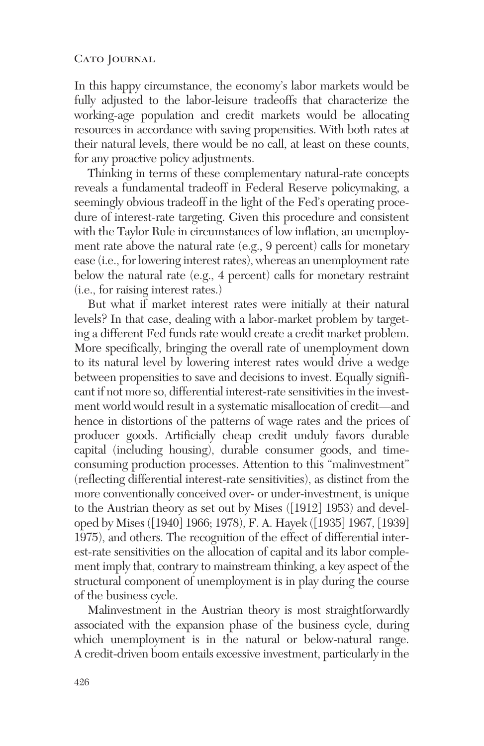In this happy circumstance, the economy's labor markets would be fully adjusted to the labor-leisure tradeoffs that characterize the working-age population and credit markets would be allocating resources in accordance with saving propensities. With both rates at their natural levels, there would be no call, at least on these counts, for any proactive policy adjustments.

Thinking in terms of these complementary natural-rate concepts reveals a fundamental tradeoff in Federal Reserve policymaking, a seemingly obvious tradeoff in the light of the Fed's operating procedure of interest-rate targeting. Given this procedure and consistent with the Taylor Rule in circumstances of low inflation, an unemployment rate above the natural rate (e.g., 9 percent) calls for monetary ease (i.e., for lowering interest rates), whereas an unemployment rate below the natural rate (e.g., 4 percent) calls for monetary restraint (i.e., for raising interest rates.)

But what if market interest rates were initially at their natural levels? In that case, dealing with a labor-market problem by targeting a different Fed funds rate would create a credit market problem. More specifically, bringing the overall rate of unemployment down to its natural level by lowering interest rates would drive a wedge between propensities to save and decisions to invest. Equally significant if not more so, differential interest-rate sensitivities in the investment world would result in a systematic misallocation of credit—and hence in distortions of the patterns of wage rates and the prices of producer goods. Artificially cheap credit unduly favors durable capital (including housing), durable consumer goods, and time consuming production processes. Attention to this "malinvestment" (reflecting differential interest-rate sensitivities), as distinct from the more conventionally conceived over- or under-investment, is unique to the Austrian theory as set out by Mises ([1912] 1953) and developed by Mises ([1940] 1966; 1978), F. A. Hayek ([1935] 1967, [1939] 1975), and others. The recognition of the effect of differential interest-rate sensitivities on the allocation of capital and its labor complement imply that, contrary to mainstream thinking, a key aspect of the structural component of unemployment is in play during the course of the business cycle.

Malinvestment in the Austrian theory is most straightforwardly associated with the expansion phase of the business cycle, during which unemployment is in the natural or below-natural range. A credit-driven boom entails excessive investment, particularly in the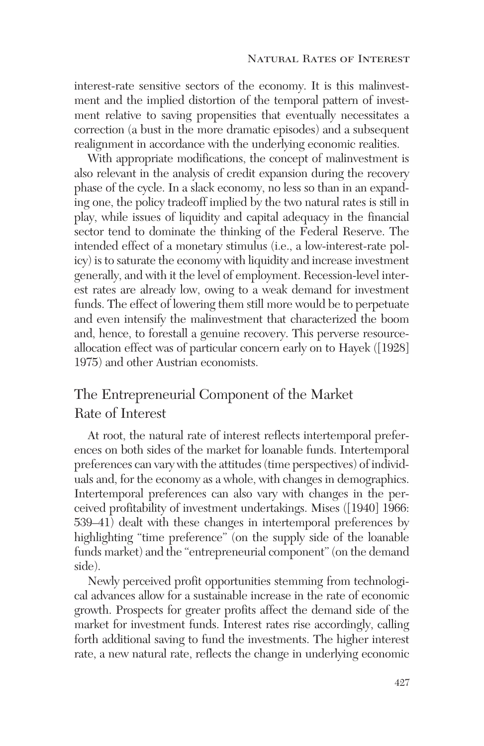interest-rate sensitive sectors of the economy. It is this malinvestment and the implied distortion of the temporal pattern of investment relative to saving propensities that eventually necessitates a correction (a bust in the more dramatic episodes) and a subsequent realignment in accordance with the underlying economic realities.

With appropriate modifications, the concept of malinvestment is also relevant in the analysis of credit expansion during the recovery phase of the cycle. In a slack economy, no less so than in an expanding one, the policy tradeoff implied by the two natural rates is still in play, while issues of liquidity and capital adequacy in the financial sector tend to dominate the thinking of the Federal Reserve. The intended effect of a monetary stimulus (i.e., a low-interest-rate policy) is to saturate the economy with liquidity and increase investment generally, and with it the level of employment. Recession-level interest rates are already low, owing to a weak demand for investment funds. The effect of lowering them still more would be to perpetuate and even intensify the malinvestment that characterized the boom and, hence, to forestall a genuine recovery. This perverse resourceallocation effect was of particular concern early on to Hayek ([1928] 1975) and other Austrian economists.

## The Entrepreneurial Component of the Market Rate of Interest

At root, the natural rate of interest reflects intertemporal preferences on both sides of the market for loanable funds. Intertemporal preferences can vary with the attitudes (time perspectives) of individuals and, for the economy as a whole, with changes in demographics. Intertemporal preferences can also vary with changes in the perceived profitability of investment undertakings. Mises ([1940] 1966: 539–41) dealt with these changes in intertemporal preferences by highlighting "time preference" (on the supply side of the loanable funds market) and the "entrepreneurial component" (on the demand side).

Newly perceived profit opportunities stemming from technological advances allow for a sustainable increase in the rate of economic growth. Prospects for greater profits affect the demand side of the market for investment funds. Interest rates rise accordingly, calling forth additional saving to fund the investments. The higher interest rate, a new natural rate, reflects the change in underlying economic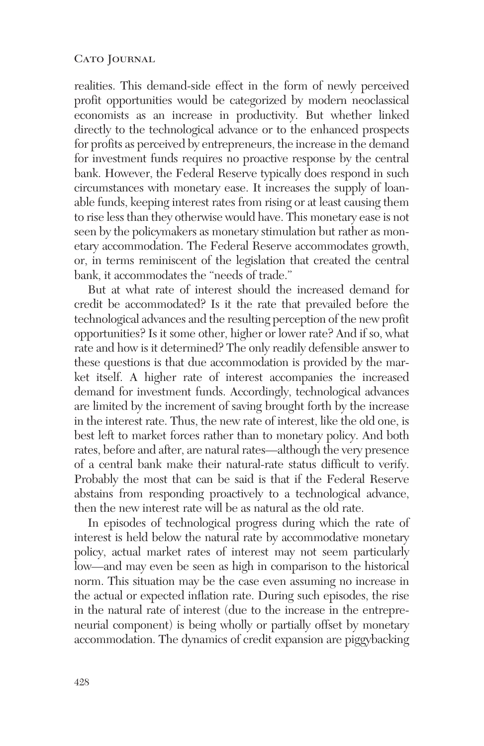realities. This demand-side effect in the form of newly perceived profit opportunities would be categorized by modern neoclassical economists as an increase in productivity. But whether linked directly to the technological advance or to the enhanced prospects for profits as perceived by entrepreneurs, the increase in the demand for investment funds requires no proactive response by the central bank. However, the Federal Reserve typically does respond in such circumstances with monetary ease. It increases the supply of loanable funds, keeping interest rates from rising or at least causing them to rise less than they otherwise would have. This monetary ease is not seen by the policymakers as monetary stimulation but rather as monetary accommodation. The Federal Reserve accommodates growth, or, in terms reminiscent of the legislation that created the central bank, it accommodates the "needs of trade."

But at what rate of interest should the increased demand for credit be accommodated? Is it the rate that prevailed before the technological advances and the resulting perception of the new profit opportunities? Is it some other, higher or lower rate? And if so, what rate and how is it determined? The only readily defensible answer to these questions is that due accommodation is provided by the market itself. A higher rate of interest accompanies the increased demand for investment funds. Accordingly, technological advances are limited by the increment of saving brought forth by the increase in the interest rate. Thus, the new rate of interest, like the old one, is best left to market forces rather than to monetary policy. And both rates, before and after, are natural rates—although the very presence of a central bank make their natural-rate status difficult to verify. Probably the most that can be said is that if the Federal Reserve abstains from responding proactively to a technological advance, then the new interest rate will be as natural as the old rate.

In episodes of technological progress during which the rate of interest is held below the natural rate by accommodative monetary policy, actual market rates of interest may not seem particularly low—and may even be seen as high in comparison to the historical norm. This situation may be the case even assuming no increase in the actual or expected inflation rate. During such episodes, the rise in the natural rate of interest (due to the increase in the entrepreneurial component) is being wholly or partially offset by monetary accommodation. The dynamics of credit expansion are piggybacking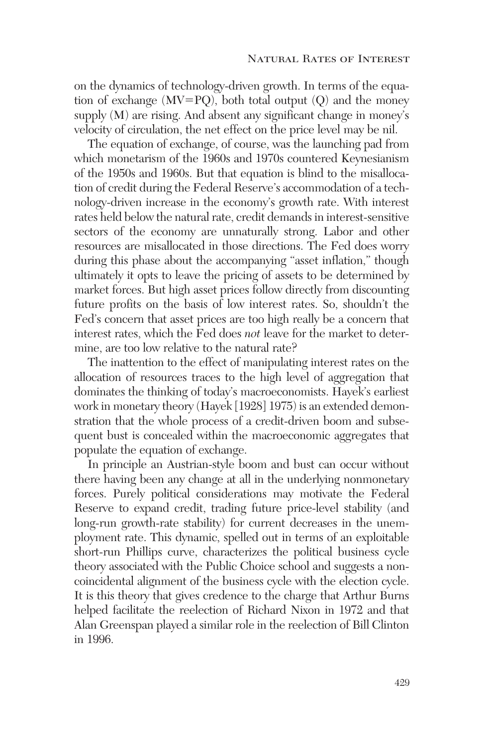on the dynamics of technology-driven growth. In terms of the equation of exchange (MV-PQ), both total output (Q) and the money supply (M) are rising. And absent any significant change in money's velocity of circulation, the net effect on the price level may be nil.

The equation of exchange, of course, was the launching pad from which monetarism of the 1960s and 1970s countered Keynesianism of the 1950s and 1960s. But that equation is blind to the misallocation of credit during the Federal Reserve's accommodation of a technology-driven increase in the economy's growth rate. With interest rates held below the natural rate, credit demands in interest-sensitive sectors of the economy are unnaturally strong. Labor and other resources are misallocated in those directions. The Fed does worry during this phase about the accompanying "asset inflation," though ultimately it opts to leave the pricing of assets to be determined by market forces. But high asset prices follow directly from discounting future profits on the basis of low interest rates. So, shouldn't the Fed's concern that asset prices are too high really be a concern that interest rates, which the Fed does *not* leave for the market to determine, are too low relative to the natural rate?

The inattention to the effect of manipulating interest rates on the allocation of resources traces to the high level of aggregation that dominates the thinking of today's macroeconomists. Hayek's earliest work in monetary theory (Hayek [1928] 1975) is an extended demonstration that the whole process of a credit-driven boom and subsequent bust is concealed within the macroeconomic aggregates that populate the equation of exchange.

In principle an Austrian-style boom and bust can occur without there having been any change at all in the underlying nonmonetary forces. Purely political considerations may motivate the Federal Reserve to expand credit, trading future price-level stability (and long-run growth-rate stability) for current decreases in the unemployment rate. This dynamic, spelled out in terms of an exploitable short-run Phillips curve, characterizes the political business cycle theory associated with the Public Choice school and suggests a noncoincidental alignment of the business cycle with the election cycle. It is this theory that gives credence to the charge that Arthur Burns helped facilitate the reelection of Richard Nixon in 1972 and that Alan Greenspan played a similar role in the reelection of Bill Clinton in 1996.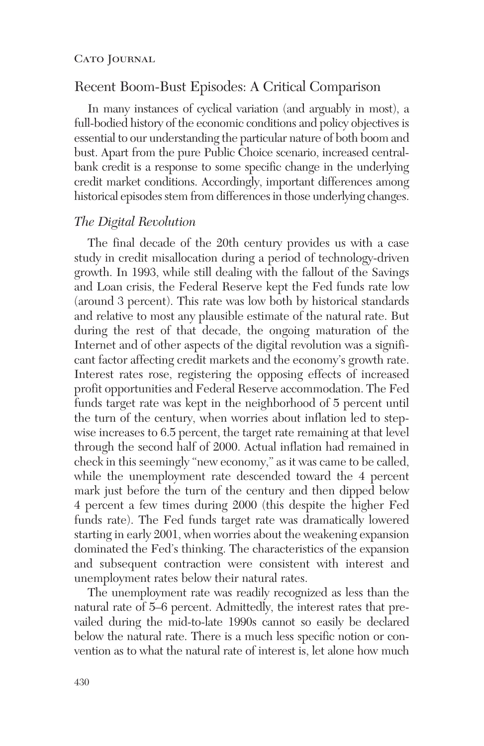## Recent Boom-Bust Episodes: A Critical Comparison

In many instances of cyclical variation (and arguably in most), a full-bodied history of the economic conditions and policy objectives is essential to our understanding the particular nature of both boom and bust. Apart from the pure Public Choice scenario, increased centralbank credit is a response to some specific change in the underlying credit market conditions. Accordingly, important differences among historical episodes stem from differences in those underlying changes.

#### *The Digital Revolution*

The final decade of the 20th century provides us with a case study in credit misallocation during a period of technology-driven growth. In 1993, while still dealing with the fallout of the Savings and Loan crisis, the Federal Reserve kept the Fed funds rate low (around 3 percent). This rate was low both by historical standards and relative to most any plausible estimate of the natural rate. But during the rest of that decade, the ongoing maturation of the Internet and of other aspects of the digital revolution was a significant factor affecting credit markets and the economy's growth rate. Interest rates rose, registering the opposing effects of increased profit opportunities and Federal Reserve accommodation. The Fed funds target rate was kept in the neighborhood of 5 percent until the turn of the century, when worries about inflation led to stepwise increases to 6.5 percent, the target rate remaining at that level through the second half of 2000. Actual inflation had remained in check in this seemingly "new economy," as it was came to be called, while the unemployment rate descended toward the 4 percent mark just before the turn of the century and then dipped below 4 percent a few times during 2000 (this despite the higher Fed funds rate). The Fed funds target rate was dramatically lowered starting in early 2001, when worries about the weakening expansion dominated the Fed's thinking. The characteristics of the expansion and subsequent contraction were consistent with interest and unemployment rates below their natural rates.

The unemployment rate was readily recognized as less than the natural rate of 5–6 percent. Admittedly, the interest rates that prevailed during the mid-to-late 1990s cannot so easily be declared below the natural rate. There is a much less specific notion or convention as to what the natural rate of interest is, let alone how much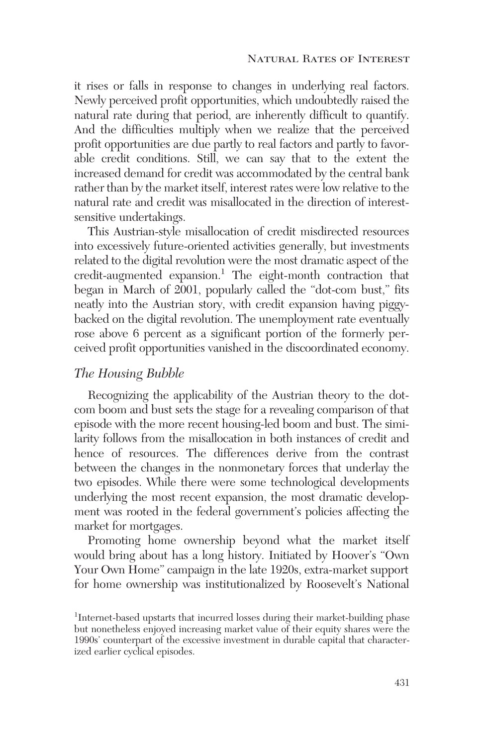it rises or falls in response to changes in underlying real factors. Newly perceived profit opportunities, which undoubtedly raised the natural rate during that period, are inherently difficult to quantify. And the difficulties multiply when we realize that the perceived profit opportunities are due partly to real factors and partly to favorable credit conditions. Still, we can say that to the extent the increased demand for credit was accommodated by the central bank rather than by the market itself, interest rates were low relative to the natural rate and credit was misallocated in the direction of interestsensitive undertakings.

This Austrian-style misallocation of credit misdirected resources into excessively future-oriented activities generally, but investments related to the digital revolution were the most dramatic aspect of the credit-augmented expansion.<sup>1</sup> The eight-month contraction that began in March of 2001, popularly called the "dot-com bust," fits neatly into the Austrian story, with credit expansion having piggybacked on the digital revolution. The unemployment rate eventually rose above 6 percent as a significant portion of the formerly perceived profit opportunities vanished in the discoordinated economy.

#### *The Housing Bubble*

Recognizing the applicability of the Austrian theory to the dotcom boom and bust sets the stage for a revealing comparison of that episode with the more recent housing-led boom and bust. The similarity follows from the misallocation in both instances of credit and hence of resources. The differences derive from the contrast between the changes in the nonmonetary forces that underlay the two episodes. While there were some technological developments underlying the most recent expansion, the most dramatic development was rooted in the federal government's policies affecting the market for mortgages.

Promoting home ownership beyond what the market itself would bring about has a long history. Initiated by Hoover's "Own Your Own Home" campaign in the late 1920s, extra-market support for home ownership was institutionalized by Roosevelt's National

<sup>&</sup>lt;sup>1</sup>Internet-based upstarts that incurred losses during their market-building phase but nonetheless enjoyed increasing market value of their equity shares were the 1990s' counterpart of the excessive investment in durable capital that characterized earlier cyclical episodes.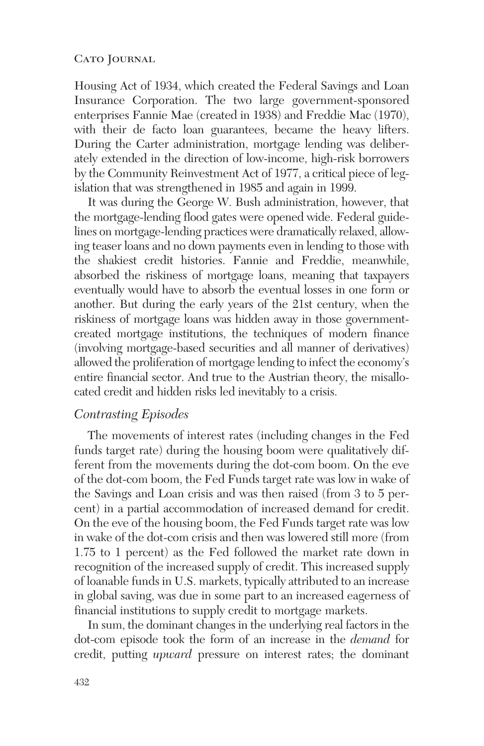Housing Act of 1934, which created the Federal Savings and Loan Insurance Corporation. The two large government-sponsored enterprises Fannie Mae (created in 1938) and Freddie Mac (1970), with their de facto loan guarantees, became the heavy lifters. During the Carter administration, mortgage lending was deliberately extended in the direction of low-income, high-risk borrowers by the Community Reinvestment Act of 1977, a critical piece of legislation that was strengthened in 1985 and again in 1999.

It was during the George W. Bush administration, however, that the mortgage-lending flood gates were opened wide. Federal guidelines on mortgage-lending practices were dramatically relaxed, allowing teaser loans and no down payments even in lending to those with the shakiest credit histories. Fannie and Freddie, meanwhile, absorbed the riskiness of mortgage loans, meaning that taxpayers eventually would have to absorb the eventual losses in one form or another. But during the early years of the 21st century, when the riskiness of mortgage loans was hidden away in those governmentcreated mortgage institutions, the techniques of modern finance (involving mortgage-based securities and all manner of derivatives) allowed the proliferation of mortgage lending to infect the economy's entire financial sector. And true to the Austrian theory, the misallocated credit and hidden risks led inevitably to a crisis.

### *Contrasting Episodes*

The movements of interest rates (including changes in the Fed funds target rate) during the housing boom were qualitatively different from the movements during the dot-com boom. On the eve of the dot-com boom, the Fed Funds target rate was low in wake of the Savings and Loan crisis and was then raised (from 3 to 5 percent) in a partial accommodation of increased demand for credit. On the eve of the housing boom, the Fed Funds target rate was low in wake of the dot-com crisis and then was lowered still more (from 1.75 to 1 percent) as the Fed followed the market rate down in recognition of the increased supply of credit. This increased supply of loanable funds in U.S. markets, typically attributed to an increase in global saving, was due in some part to an increased eagerness of financial institutions to supply credit to mortgage markets.

In sum, the dominant changes in the underlying real factors in the dot-com episode took the form of an increase in the *demand* for credit, putting *upward* pressure on interest rates; the dominant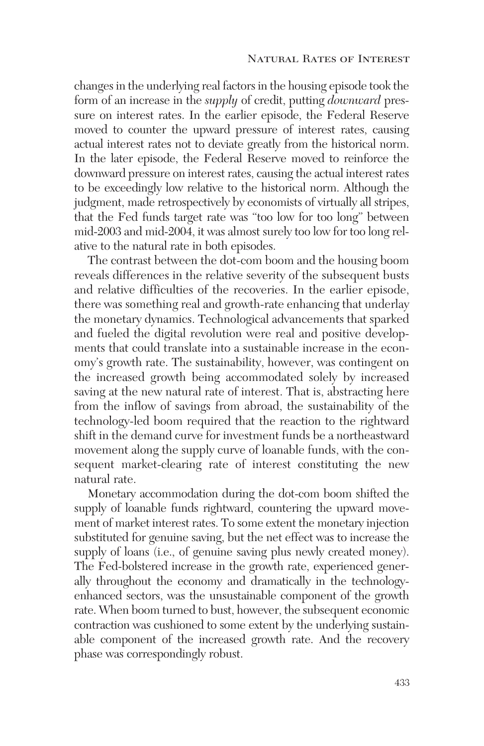changes in the underlying real factors in the housing episode took the form of an increase in the *supply* of credit, putting *downward* pressure on interest rates. In the earlier episode, the Federal Reserve moved to counter the upward pressure of interest rates, causing actual interest rates not to deviate greatly from the historical norm. In the later episode, the Federal Reserve moved to reinforce the downward pressure on interest rates, causing the actual interest rates to be exceedingly low relative to the historical norm. Although the judgment, made retrospectively by economists of virtually all stripes, that the Fed funds target rate was "too low for too long" between mid-2003 and mid-2004, it was almost surely too low for too long relative to the natural rate in both episodes.

The contrast between the dot-com boom and the housing boom reveals differences in the relative severity of the subsequent busts and relative difficulties of the recoveries. In the earlier episode, there was something real and growth-rate enhancing that underlay the monetary dynamics. Technological advancements that sparked and fueled the digital revolution were real and positive developments that could translate into a sustainable increase in the economy's growth rate. The sustainability, however, was contingent on the increased growth being accommodated solely by increased saving at the new natural rate of interest. That is, abstracting here from the inflow of savings from abroad, the sustainability of the technology-led boom required that the reaction to the rightward shift in the demand curve for investment funds be a northeastward movement along the supply curve of loanable funds, with the consequent market-clearing rate of interest constituting the new natural rate.

Monetary accommodation during the dot-com boom shifted the supply of loanable funds rightward, countering the upward movement of market interest rates. To some extent the monetary injection substituted for genuine saving, but the net effect was to increase the supply of loans (i.e., of genuine saving plus newly created money). The Fed-bolstered increase in the growth rate, experienced generally throughout the economy and dramatically in the technologyenhanced sectors, was the unsustainable component of the growth rate. When boom turned to bust, however, the subsequent economic contraction was cushioned to some extent by the underlying sustainable component of the increased growth rate. And the recovery phase was correspondingly robust.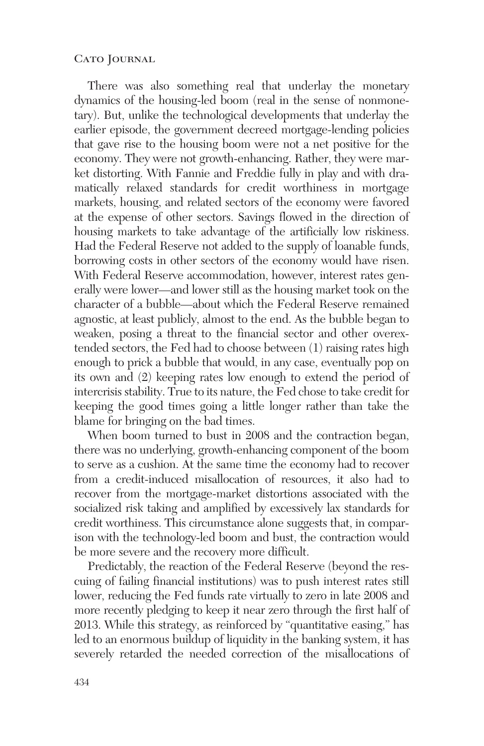There was also something real that underlay the monetary dynamics of the housing-led boom (real in the sense of nonmonetary). But, unlike the technological developments that underlay the earlier episode, the government decreed mortgage-lending policies that gave rise to the housing boom were not a net positive for the economy. They were not growth-enhancing. Rather, they were market distorting. With Fannie and Freddie fully in play and with dramatically relaxed standards for credit worthiness in mortgage markets, housing, and related sectors of the economy were favored at the expense of other sectors. Savings flowed in the direction of housing markets to take advantage of the artificially low riskiness. Had the Federal Reserve not added to the supply of loanable funds, borrowing costs in other sectors of the economy would have risen. With Federal Reserve accommodation, however, interest rates generally were lower—and lower still as the housing market took on the character of a bubble—about which the Federal Reserve remained agnostic, at least publicly, almost to the end. As the bubble began to weaken, posing a threat to the financial sector and other overextended sectors, the Fed had to choose between (1) raising rates high enough to prick a bubble that would, in any case, eventually pop on its own and (2) keeping rates low enough to extend the period of intercrisis stability. True to its nature, the Fed chose to take credit for keeping the good times going a little longer rather than take the blame for bringing on the bad times.

When boom turned to bust in 2008 and the contraction began, there was no underlying, growth-enhancing component of the boom to serve as a cushion. At the same time the economy had to recover from a credit-induced misallocation of resources, it also had to recover from the mortgage-market distortions associated with the socialized risk taking and amplified by excessively lax standards for credit worthiness. This circumstance alone suggests that, in comparison with the technology-led boom and bust, the contraction would be more severe and the recovery more difficult.

Predictably, the reaction of the Federal Reserve (beyond the rescuing of failing financial institutions) was to push interest rates still lower, reducing the Fed funds rate virtually to zero in late 2008 and more recently pledging to keep it near zero through the first half of 2013. While this strategy, as reinforced by "quantitative easing," has led to an enormous buildup of liquidity in the banking system, it has severely retarded the needed correction of the misallocations of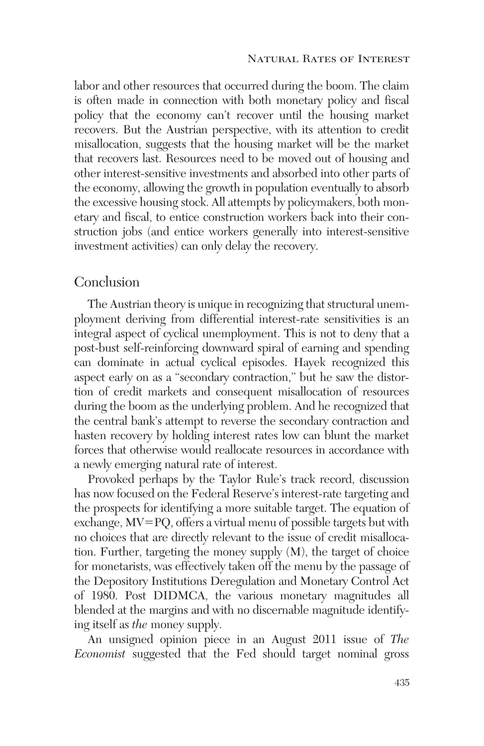labor and other resources that occurred during the boom. The claim is often made in connection with both monetary policy and fiscal policy that the economy can't recover until the housing market recovers. But the Austrian perspective, with its attention to credit misallocation, suggests that the housing market will be the market that recovers last. Resources need to be moved out of housing and other interest-sensitive investments and absorbed into other parts of the economy, allowing the growth in population eventually to absorb the excessive housing stock. All attempts by policymakers, both monetary and fiscal, to entice construction workers back into their construction jobs (and entice workers generally into interest-sensitive investment activities) can only delay the recovery.

## Conclusion

The Austrian theory is unique in recognizing that structural unemployment deriving from differential interest-rate sensitivities is an integral aspect of cyclical unemployment. This is not to deny that a post-bust self-reinforcing downward spiral of earning and spending can dominate in actual cyclical episodes. Hayek recognized this aspect early on as a "secondary contraction," but he saw the distortion of credit markets and consequent misallocation of resources during the boom as the underlying problem. And he recognized that the central bank's attempt to reverse the secondary contraction and hasten recovery by holding interest rates low can blunt the market forces that otherwise would reallocate resources in accordance with a newly emerging natural rate of interest.

Provoked perhaps by the Taylor Rule's track record, discussion has now focused on the Federal Reserve's interest-rate targeting and the prospects for identifying a more suitable target. The equation of exchange, MV-PQ, offers a virtual menu of possible targets but with no choices that are directly relevant to the issue of credit misallocation. Further, targeting the money supply (M), the target of choice for monetarists, was effectively taken off the menu by the passage of the Depository Institutions Deregulation and Monetary Control Act of 1980. Post DIDMCA, the various monetary magnitudes all blended at the margins and with no discernable magnitude identifying itself as *the* money supply.

An unsigned opinion piece in an August 2011 issue of *The Economist* suggested that the Fed should target nominal gross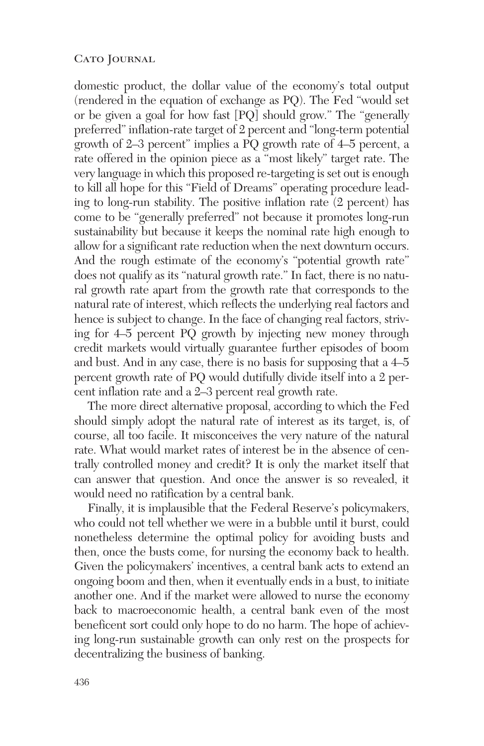domestic product, the dollar value of the economy's total output (rendered in the equation of exchange as PQ). The Fed "would set or be given a goal for how fast [PQ] should grow." The "generally preferred" inflation-rate target of 2 percent and "long-term potential growth of 2–3 percent" implies a PQ growth rate of 4–5 percent, a rate offered in the opinion piece as a "most likely" target rate. The very language in which this proposed re-targeting is set out is enough to kill all hope for this "Field of Dreams" operating procedure leading to long-run stability. The positive inflation rate (2 percent) has come to be "generally preferred" not because it promotes long-run sustainability but because it keeps the nominal rate high enough to allow for a significant rate reduction when the next downturn occurs. And the rough estimate of the economy's "potential growth rate" does not qualify as its "natural growth rate." In fact, there is no natural growth rate apart from the growth rate that corresponds to the natural rate of interest, which reflects the underlying real factors and hence is subject to change. In the face of changing real factors, striving for 4–5 percent PQ growth by injecting new money through credit markets would virtually guarantee further episodes of boom and bust. And in any case, there is no basis for supposing that a 4–5 percent growth rate of PQ would dutifully divide itself into a 2 percent inflation rate and a 2–3 percent real growth rate.

The more direct alternative proposal, according to which the Fed should simply adopt the natural rate of interest as its target, is, of course, all too facile. It misconceives the very nature of the natural rate. What would market rates of interest be in the absence of centrally controlled money and credit? It is only the market itself that can answer that question. And once the answer is so revealed, it would need no ratification by a central bank.

Finally, it is implausible that the Federal Reserve's policymakers, who could not tell whether we were in a bubble until it burst, could nonetheless determine the optimal policy for avoiding busts and then, once the busts come, for nursing the economy back to health. Given the policymakers' incentives, a central bank acts to extend an ongoing boom and then, when it eventually ends in a bust, to initiate another one. And if the market were allowed to nurse the economy back to macroeconomic health, a central bank even of the most beneficent sort could only hope to do no harm. The hope of achieving long-run sustainable growth can only rest on the prospects for decentralizing the business of banking.